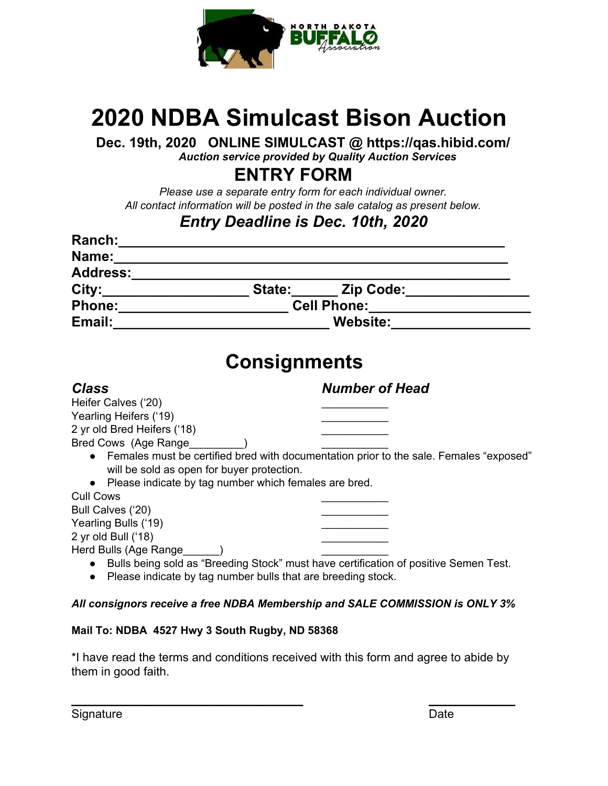

# **2020 NDBA Simulcast Bison Auction**

**Dec. 19th, 2020 ONLINE SIMULCAST @ https://qas.hibid.com/**

*Auction service provided by Quality Auction Services*

 **ENTRY FORM**

*Please use a separate entry form for each individual owner. All contact information will be posted in the sale catalog as present below.*

## *Entry Deadline is Dec. 10th, 2020*

| Name:<br><u> 1980 - Jan Barnett, mars et al. 1980 - Anna anno 1980 - Anna anno 1980 - Anna anno 1980 - Anna ann ann an t-</u> |                                                                                          |  |  |
|-------------------------------------------------------------------------------------------------------------------------------|------------------------------------------------------------------------------------------|--|--|
| Address:_________________                                                                                                     |                                                                                          |  |  |
|                                                                                                                               | City:_________________________State:________ Zip Code:__________________________         |  |  |
|                                                                                                                               | Cell Phone: 2008                                                                         |  |  |
|                                                                                                                               |                                                                                          |  |  |
|                                                                                                                               | <b>Consignments</b>                                                                      |  |  |
| <b>Class</b>                                                                                                                  | <b>Number of Head</b>                                                                    |  |  |
| Heifer Calves ('20)                                                                                                           |                                                                                          |  |  |
| Yearling Heifers ('19)                                                                                                        |                                                                                          |  |  |
| 2 yr old Bred Heifers ('18)                                                                                                   |                                                                                          |  |  |
| Bred Cows (Age Range (2008)                                                                                                   |                                                                                          |  |  |
|                                                                                                                               | • Females must be certified bred with documentation prior to the sale. Females "exposed" |  |  |
| will be sold as open for buyer protection.                                                                                    |                                                                                          |  |  |
| • Please indicate by tag number which females are bred.                                                                       |                                                                                          |  |  |
| <b>Cull Cows</b>                                                                                                              |                                                                                          |  |  |
| Bull Calves ('20)                                                                                                             |                                                                                          |  |  |
| Yearling Bulls ('19)<br>2 yr old Bull ('18)                                                                                   |                                                                                          |  |  |
| Herd Bulls (Age Range )                                                                                                       |                                                                                          |  |  |
|                                                                                                                               | • Bulls being sold as "Breeding Stock" must have certification of positive Semen Test.   |  |  |
| • Please indicate by tag number bulls that are breeding stock.                                                                |                                                                                          |  |  |
|                                                                                                                               |                                                                                          |  |  |

#### *All consignors receive a free NDBA Membership and SALE COMMISSION is ONLY 3%*

#### **Mail To: NDBA 4527 Hwy 3 South Rugby, ND 58368**

\*I have read the terms and conditions received with this form and agree to abide by them in good faith.

**\_\_\_\_\_\_\_\_\_\_\_\_\_\_\_\_\_\_\_\_\_\_\_\_\_\_\_\_\_\_\_\_\_\_\_ \_\_\_\_\_\_\_\_\_\_\_\_\_**

Signature Date